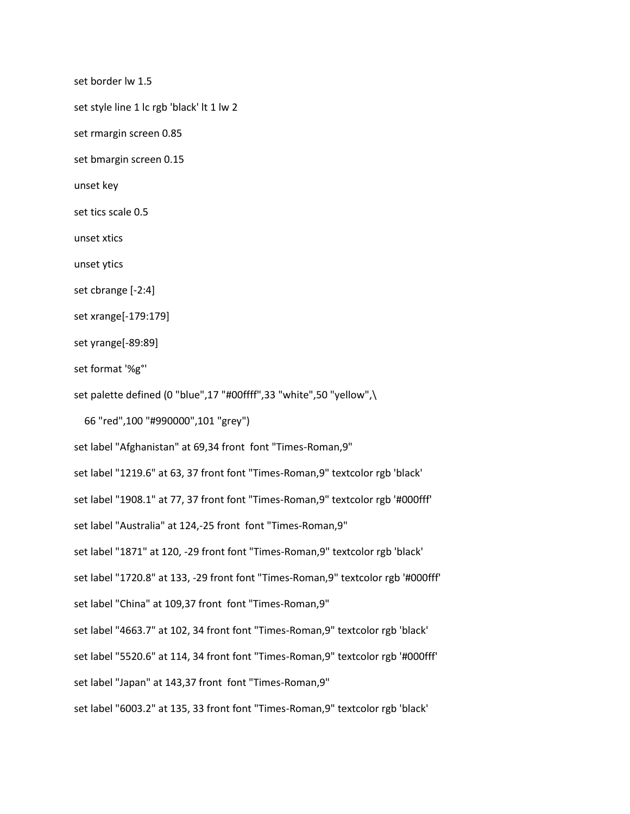set border lw 1.5

set style line 1 lc rgb 'black' lt 1 lw 2

set rmargin screen 0.85

set bmargin screen 0.15

unset key

set tics scale 0.5

unset xtics

unset ytics

set cbrange [-2:4]

set xrange[-179:179]

set yrange[-89:89]

set format '%g°'

set palette defined (0 "blue",17 "#00ffff",33 "white",50 "yellow",\

66 "red",100 "#990000",101 "grey")

set label "Afghanistan" at 69,34 front font "Times-Roman,9"

set label "1219.6" at 63, 37 front font "Times-Roman,9" textcolor rgb 'black'

set label "1908.1" at 77, 37 front font "Times-Roman,9" textcolor rgb '#000fff'

set label "Australia" at 124,-25 front font "Times-Roman,9"

set label "1871" at 120, -29 front font "Times-Roman,9" textcolor rgb 'black'

set label "1720.8" at 133, -29 front font "Times-Roman,9" textcolor rgb '#000fff'

set label "China" at 109,37 front font "Times-Roman,9"

set label "4663.7" at 102, 34 front font "Times-Roman,9" textcolor rgb 'black'

set label "5520.6" at 114, 34 front font "Times-Roman,9" textcolor rgb '#000fff'

set label "Japan" at 143,37 front font "Times-Roman,9"

set label "6003.2" at 135, 33 front font "Times-Roman,9" textcolor rgb 'black'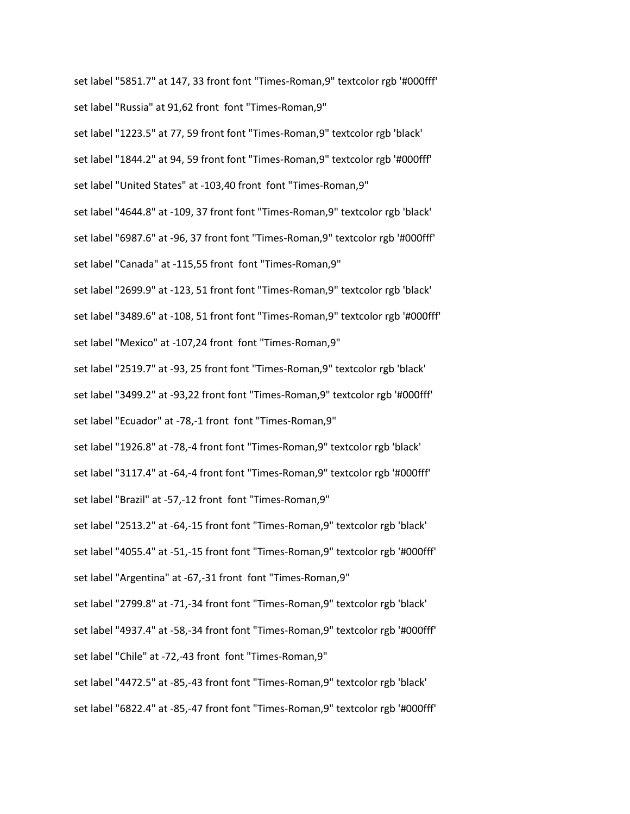set label "5851.7" at 147, 33 front font "Times-Roman,9" textcolor rgb '#000fff' set label "Russia" at 91,62 front font "Times-Roman,9"

set label "1223.5" at 77, 59 front font "Times-Roman,9" textcolor rgb 'black' set label "1844.2" at 94, 59 front font "Times-Roman,9" textcolor rgb '#000fff' set label "United States" at -103,40 front font "Times-Roman,9" set label "4644.8" at -109, 37 front font "Times-Roman,9" textcolor rgb 'black' set label "6987.6" at -96, 37 front font "Times-Roman,9" textcolor rgb '#000fff' set label "Canada" at -115,55 front font "Times-Roman,9" set label "2699.9" at -123, 51 front font "Times-Roman,9" textcolor rgb 'black' set label "3489.6" at -108, 51 front font "Times-Roman,9" textcolor rgb '#000fff' set label "Mexico" at -107,24 front font "Times-Roman,9" set label "2519.7" at -93, 25 front font "Times-Roman,9" textcolor rgb 'black' set label "3499.2" at -93,22 front font "Times-Roman,9" textcolor rgb '#000fff' set label "Ecuador" at -78,-1 front font "Times-Roman,9" set label "1926.8" at -78,-4 front font "Times-Roman,9" textcolor rgb 'black' set label "3117.4" at -64,-4 front font "Times-Roman,9" textcolor rgb '#000fff' set label "Brazil" at -57,-12 front font "Times-Roman,9" set label "2513.2" at -64,-15 front font "Times-Roman,9" textcolor rgb 'black' set label "4055.4" at -51,-15 front font "Times-Roman,9" textcolor rgb '#000fff' set label "Argentina" at -67,-31 front font "Times-Roman,9" set label "2799.8" at -71,-34 front font "Times-Roman,9" textcolor rgb 'black' set label "4937.4" at -58,-34 front font "Times-Roman,9" textcolor rgb '#000fff' set label "Chile" at -72,-43 front font "Times-Roman,9" set label "4472.5" at -85,-43 front font "Times-Roman,9" textcolor rgb 'black' set label "6822.4" at -85,-47 front font "Times-Roman,9" textcolor rgb '#000fff'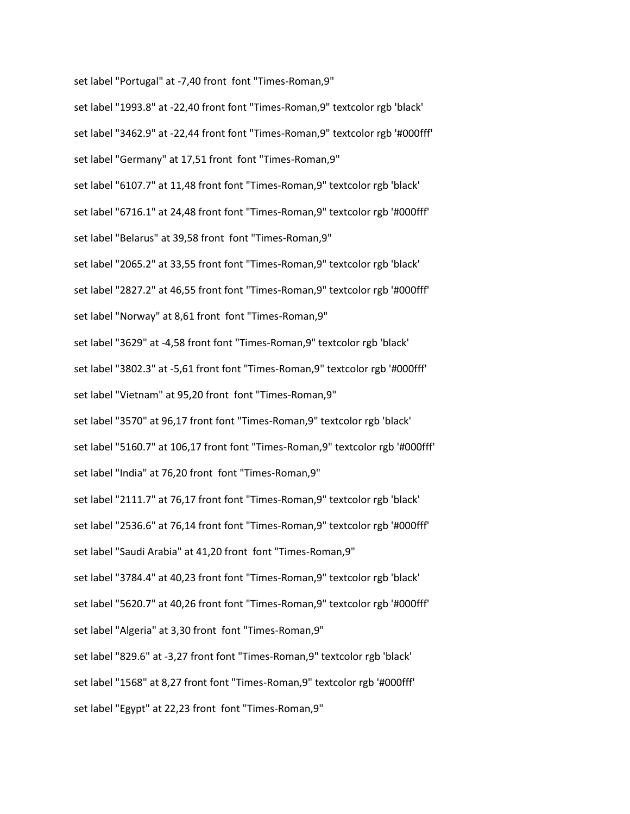set label "1993.8" at -22,40 front font "Times-Roman,9" textcolor rgb 'black' set label "3462.9" at -22,44 front font "Times-Roman,9" textcolor rgb '#000fff' set label "Germany" at 17,51 front font "Times-Roman,9" set label "6107.7" at 11,48 front font "Times-Roman,9" textcolor rgb 'black' set label "6716.1" at 24,48 front font "Times-Roman,9" textcolor rgb '#000fff' set label "Belarus" at 39,58 front font "Times-Roman,9" set label "2065.2" at 33,55 front font "Times-Roman,9" textcolor rgb 'black' set label "2827.2" at 46,55 front font "Times-Roman,9" textcolor rgb '#000fff' set label "Norway" at 8,61 front font "Times-Roman,9" set label "3629" at -4,58 front font "Times-Roman,9" textcolor rgb 'black' set label "3802.3" at -5,61 front font "Times-Roman,9" textcolor rgb '#000fff' set label "Vietnam" at 95,20 front font "Times-Roman,9" set label "3570" at 96,17 front font "Times-Roman,9" textcolor rgb 'black' set label "5160.7" at 106,17 front font "Times-Roman,9" textcolor rgb '#000fff' set label "India" at 76,20 front font "Times-Roman,9" set label "2111.7" at 76,17 front font "Times-Roman,9" textcolor rgb 'black' set label "2536.6" at 76,14 front font "Times-Roman,9" textcolor rgb '#000fff' set label "Saudi Arabia" at 41,20 front font "Times-Roman,9" set label "3784.4" at 40,23 front font "Times-Roman,9" textcolor rgb 'black' set label "5620.7" at 40,26 front font "Times-Roman,9" textcolor rgb '#000fff' set label "Algeria" at 3,30 front font "Times-Roman,9" set label "829.6" at -3,27 front font "Times-Roman,9" textcolor rgb 'black' set label "1568" at 8,27 front font "Times-Roman,9" textcolor rgb '#000fff' set label "Egypt" at 22,23 front font "Times-Roman,9"

set label "Portugal" at -7,40 front font "Times-Roman,9"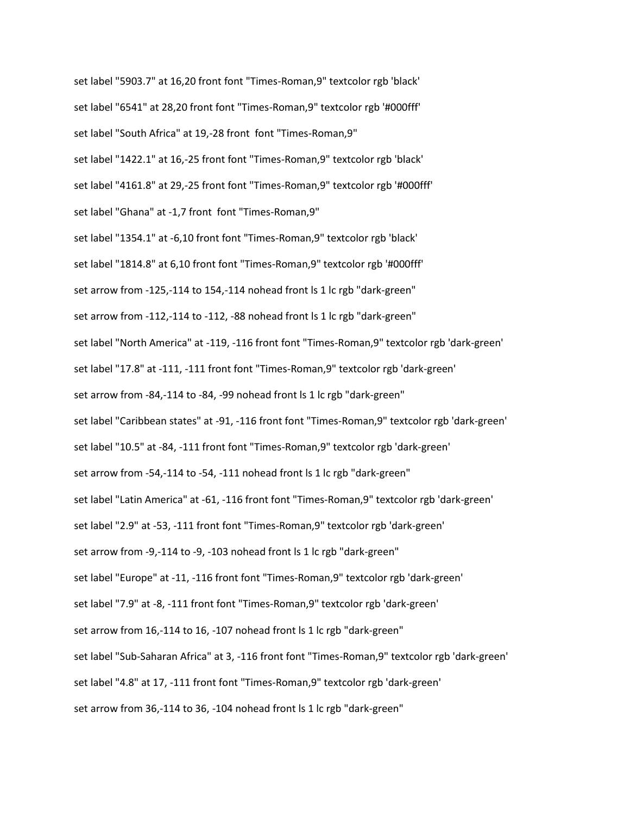set label "5903.7" at 16,20 front font "Times-Roman,9" textcolor rgb 'black' set label "6541" at 28,20 front font "Times-Roman,9" textcolor rgb '#000fff' set label "South Africa" at 19,-28 front font "Times-Roman,9" set label "1422.1" at 16,-25 front font "Times-Roman,9" textcolor rgb 'black' set label "4161.8" at 29,-25 front font "Times-Roman,9" textcolor rgb '#000fff' set label "Ghana" at -1,7 front font "Times-Roman,9" set label "1354.1" at -6,10 front font "Times-Roman,9" textcolor rgb 'black' set label "1814.8" at 6,10 front font "Times-Roman,9" textcolor rgb '#000fff' set arrow from -125,-114 to 154,-114 nohead front ls 1 lc rgb "dark-green" set arrow from -112,-114 to -112, -88 nohead front ls 1 lc rgb "dark-green" set label "North America" at -119, -116 front font "Times-Roman,9" textcolor rgb 'dark-green' set label "17.8" at -111, -111 front font "Times-Roman,9" textcolor rgb 'dark-green' set arrow from -84,-114 to -84, -99 nohead front ls 1 lc rgb "dark-green" set label "Caribbean states" at -91, -116 front font "Times-Roman,9" textcolor rgb 'dark-green' set label "10.5" at -84, -111 front font "Times-Roman,9" textcolor rgb 'dark-green' set arrow from -54,-114 to -54, -111 nohead front ls 1 lc rgb "dark-green" set label "Latin America" at -61, -116 front font "Times-Roman,9" textcolor rgb 'dark-green' set label "2.9" at -53, -111 front font "Times-Roman,9" textcolor rgb 'dark-green' set arrow from -9,-114 to -9, -103 nohead front ls 1 lc rgb "dark-green" set label "Europe" at -11, -116 front font "Times-Roman,9" textcolor rgb 'dark-green' set label "7.9" at -8, -111 front font "Times-Roman,9" textcolor rgb 'dark-green' set arrow from 16,-114 to 16, -107 nohead front ls 1 lc rgb "dark-green" set label "Sub-Saharan Africa" at 3, -116 front font "Times-Roman,9" textcolor rgb 'dark-green' set label "4.8" at 17, -111 front font "Times-Roman,9" textcolor rgb 'dark-green' set arrow from 36,-114 to 36, -104 nohead front ls 1 lc rgb "dark-green"